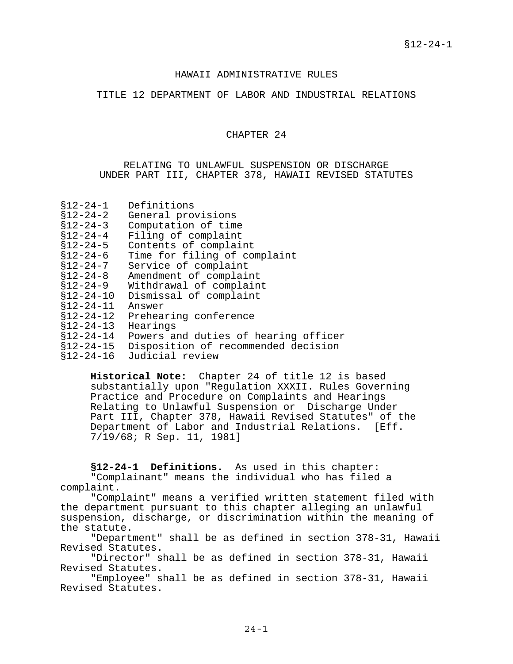## HAWAII ADMINISTRATIVE RULES

TITLE 12 DEPARTMENT OF LABOR AND INDUSTRIAL RELATIONS

## CHAPTER 24

## RELATING TO UNLAWFUL SUSPENSION OR DISCHARGE UNDER PART III, CHAPTER 378, HAWAII REVISED STATUTES

- §12-24-1 Definitions
- §12-24-2 General provisions
- Computation of time
- §12-24-4 Filing of complaint
- 
- §12-24-5 Contents of complaint<br>§12-24-6 Time for filing of complaint §12-24-6 Time for filing of complaint
- §12-24-7 Service of complaint
- §12-24-8 Amendment of complaint
- §12-24-9 Withdrawal of complaint
- §12-24-10 Dismissal of complaint
- §12-24-11 Answer
- §12-24-12 Prehearing conference
- §12-24-13 Hearings
- §12-24-14 Powers and duties of hearing officer
- §12-24-15 Disposition of recommended decision
- §12-24-16 Judicial review

**Historical Note:** Chapter 24 of title 12 is based substantially upon "Regulation XXXII. Rules Governing Practice and Procedure on Complaints and Hearings Relating to Unlawful Suspension or Discharge Under Part III, Chapter 378, Hawaii Revised Statutes" of the Department of Labor and Industrial Relations. [Eff. 7/19/68; R Sep. 11, 1981]

 **§12-24-1 Definitions.** As used in this chapter: "Complainant" means the individual who has filed a complaint.

 "Complaint" means a verified written statement filed with the department pursuant to this chapter alleging an unlawful suspension, discharge, or discrimination within the meaning of the statute.

 "Department" shall be as defined in section 378-31, Hawaii Revised Statutes.

 "Director" shall be as defined in section 378-31, Hawaii Revised Statutes.

 "Employee" shall be as defined in section 378-31, Hawaii Revised Statutes.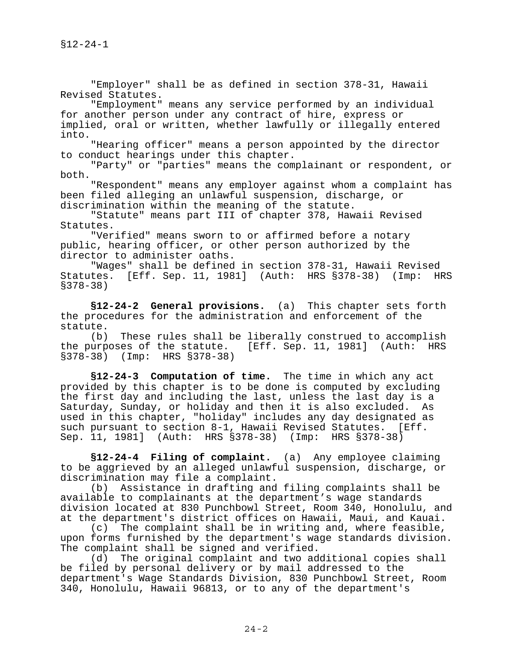"Employer" shall be as defined in section 378-31, Hawaii Revised Statutes.

 "Employment" means any service performed by an individual for another person under any contract of hire, express or implied, oral or written, whether lawfully or illegally entered into.

 "Hearing officer" means a person appointed by the director to conduct hearings under this chapter.

 "Party" or "parties" means the complainant or respondent, or both.

 "Respondent" means any employer against whom a complaint has been filed alleging an unlawful suspension, discharge, or discrimination within the meaning of the statute.

 "Statute" means part III of chapter 378, Hawaii Revised Statutes.

 "Verified" means sworn to or affirmed before a notary public, hearing officer, or other person authorized by the director to administer oaths.

 "Wages" shall be defined in section 378-31, Hawaii Revised Statutes. [Eff. Sep. 11, 1981] (Auth: HRS §378-38) (Imp: HRS §378-38)

 **§12-24-2 General provisions.** (a) This chapter sets forth the procedures for the administration and enforcement of the

statute.<br>(b) (b) These rules shall be liberally construed to accomplish<br>the purposes of the statute. [Eff. Sep. 11, 1981] (Auth: HRS  $[Eff.$  Sep. 11, 1981] (Auth: HRS §378-38) (Imp: HRS §378-38)

 **§12-24-3 Computation of time.** The time in which any act provided by this chapter is to be done is computed by excluding the first day and including the last, unless the last day is a Saturday, Sunday, or holiday and then it is also excluded. As used in this chapter, "holiday" includes any day designated as such pursuant to section 8-1, Hawaii Revised Statutes. [Eff. Sep. 11, 1981] (Auth: HRS §378-38) (Imp: HRS §378-38)

 **§12-24-4 Filing of complaint.** (a) Any employee claiming to be aggrieved by an alleged unlawful suspension, discharge, or discrimination may file a complaint.<br>(b) Assistance in drafting and

Assistance in drafting and filing complaints shall be available to complainants at the department's wage standards division located at 830 Punchbowl Street, Room 340, Honolulu, and at the department's district offices on Hawaii, Maui, and Kauai.

 (c) The complaint shall be in writing and, where feasible, upon forms furnished by the department's wage standards division. The complaint shall be signed and verified.<br>(d) The original complaint and two ad

The original complaint and two additional copies shall be filed by personal delivery or by mail addressed to the department's Wage Standards Division, 830 Punchbowl Street, Room 340, Honolulu, Hawaii 96813, or to any of the department's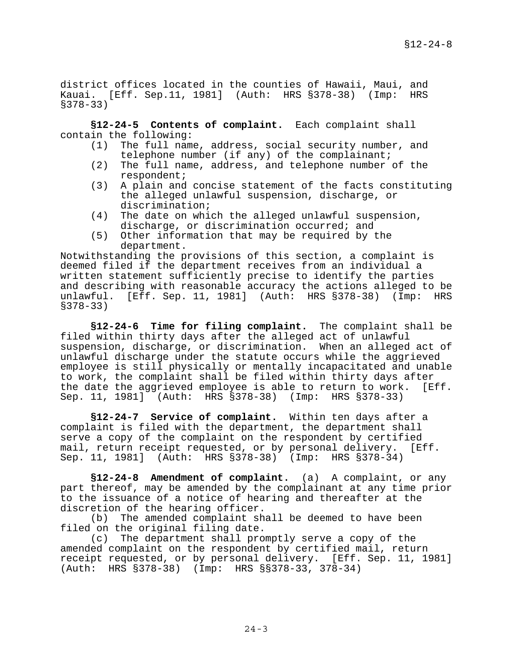district offices located in the counties of Hawaii, Maui, and Kauai. [Eff. Sep.11, 1981] (Auth: HRS §378-38) (Imp: HRS §378-33)

 **§12-24-5 Contents of complaint.** Each complaint shall contain the following:

- (1) The full name, address, social security number, and telephone number (if any) of the complainant;
- (2) The full name, address, and telephone number of the respondent;
- (3) A plain and concise statement of the facts constituting the alleged unlawful suspension, discharge, or discrimination;
- (4) The date on which the alleged unlawful suspension, discharge, or discrimination occurred; and
- (5) Other information that may be required by the department.

Notwithstanding the provisions of this section, a complaint is deemed filed if the department receives from an individual a written statement sufficiently precise to identify the parties and describing with reasonable accuracy the actions alleged to be unlawful. [Eff. Sep. 11, 1981] (Auth: HRS §378-38) (Imp: HRS §378-33)

 **§12-24-6 Time for filing complaint.** The complaint shall be filed within thirty days after the alleged act of unlawful suspension, discharge, or discrimination. When an alleged act of unlawful discharge under the statute occurs while the aggrieved employee is still physically or mentally incapacitated and unable to work, the complaint shall be filed within thirty days after the date the aggrieved employee is able to return to work. [Eff. Sep. 11, 1981] (Auth: HRS §378-38) (Imp: HRS §378-33)

 **§12-24-7 Service of complaint.** Within ten days after a complaint is filed with the department, the department shall serve a copy of the complaint on the respondent by certified<br>mail, return receipt requested, or by personal delivery. [Eff. mail, return receipt requested, or by personal delivery. Sep. 11, 1981] (Auth: HRS §378-38) (Imp: HRS §378-34)

 **§12-24-8 Amendment of complaint.** (a) A complaint, or any part thereof, may be amended by the complainant at any time prior to the issuance of a notice of hearing and thereafter at the discretion of the hearing officer.

 (b) The amended complaint shall be deemed to have been filed on the original filing date.

 (c) The department shall promptly serve a copy of the amended complaint on the respondent by certified mail, return receipt requested, or by personal delivery. [Eff. Sep. 11, 1981] (Auth: HRS §378-38) (Imp: HRS §§378-33, 378-34)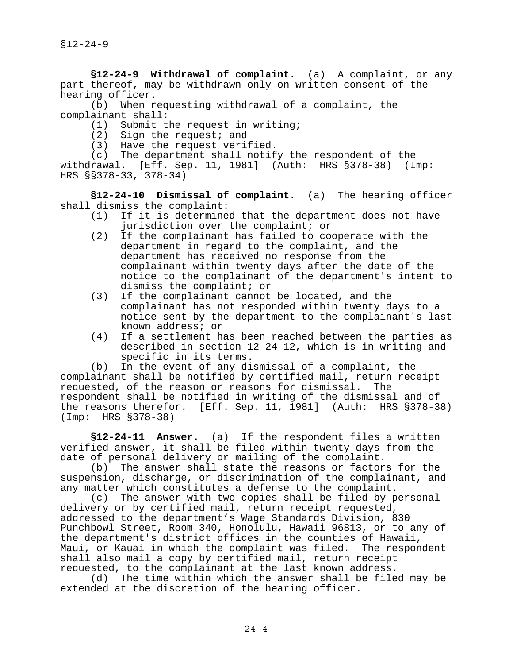**§12-24-9 Withdrawal of complaint.** (a) A complaint, or any part thereof, may be withdrawn only on written consent of the hearing officer.

 (b) When requesting withdrawal of a complaint, the complainant shall:

(1) Submit the request in writing;

- (2) Sign the request; and
- (3) Have the request verified.

(c) The department shall notify the respondent of the<br>withdrawal. [Eff. Sep. 11, 1981] (Auth: HRS §378-38) (In [Eff. Sep. 11, 1981] (Auth: HRS §378-38) (Imp: HRS §§378-33, 378-34)

 **§12-24-10 Dismissal of complaint.** (a) The hearing officer shall dismiss the complaint:<br>(1) If it is determine

- If it is determined that the department does not have jurisdiction over the complaint; or
- (2) If the complainant has failed to cooperate with the department in regard to the complaint, and the department has received no response from the complainant within twenty days after the date of the notice to the complainant of the department's intent to dismiss the complaint; or
- (3) If the complainant cannot be located, and the complainant has not responded within twenty days to a notice sent by the department to the complainant's last known address; or
- (4) If a settlement has been reached between the parties as described in section 12-24-12, which is in writing and specific in its terms.

 (b) In the event of any dismissal of a complaint, the complainant shall be notified by certified mail, return receipt requested, of the reason or reasons for dismissal. The respondent shall be notified in writing of the dismissal and of the reasons therefor. [Eff. Sep. 11, 1981] (Auth: HRS §378-38) (Imp: HRS §378-38)

 **§12-24-11 Answer.** (a) If the respondent files a written verified answer, it shall be filed within twenty days from the date of personal delivery or mailing of the complaint.

 (b) The answer shall state the reasons or factors for the suspension, discharge, or discrimination of the complainant, and any matter which constitutes a defense to the complaint.

 (c) The answer with two copies shall be filed by personal delivery or by certified mail, return receipt requested, addressed to the department's Wage Standards Division, 830 Punchbowl Street, Room 340, Honolulu, Hawaii 96813, or to any of the department's district offices in the counties of Hawaii, Maui, or Kauai in which the complaint was filed. The respondent shall also mail a copy by certified mail, return receipt requested, to the complainant at the last known address.

 (d) The time within which the answer shall be filed may be extended at the discretion of the hearing officer.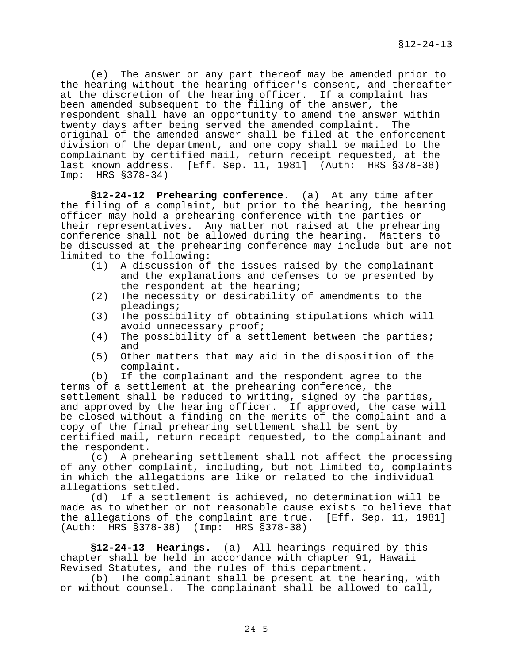(e) The answer or any part thereof may be amended prior to the hearing without the hearing officer's consent, and thereafter at the discretion of the hearing officer. If a complaint has been amended subsequent to the filing of the answer, the respondent shall have an opportunity to amend the answer within twenty days after being served the amended complaint. The original of the amended answer shall be filed at the enforcement division of the department, and one copy shall be mailed to the complainant by certified mail, return receipt requested, at the last known address. [Eff. Sep. 11, 1981] (Auth: HRS §378-38) Imp: HRS §378-34)

 **§12-24-12 Prehearing conference.** (a) At any time after the filing of a complaint, but prior to the hearing, the hearing officer may hold a prehearing conference with the parties or their representatives. Any matter not raised at the prehearing conference shall not be allowed during the hearing. Matters to be discussed at the prehearing conference may include but are not limited to the following:

- (1) A discussion of the issues raised by the complainant and the explanations and defenses to be presented by the respondent at the hearing;
- (2) The necessity or desirability of amendments to the pleadings;
- (3) The possibility of obtaining stipulations which will avoid unnecessary proof;
- (4) The possibility of a settlement between the parties; and
- (5) Other matters that may aid in the disposition of the complaint.

 (b) If the complainant and the respondent agree to the terms of a settlement at the prehearing conference, the settlement shall be reduced to writing, signed by the parties, and approved by the hearing officer. If approved, the case will be closed without a finding on the merits of the complaint and a copy of the final prehearing settlement shall be sent by certified mail, return receipt requested, to the complainant and the respondent.

 (c) A prehearing settlement shall not affect the processing of any other complaint, including, but not limited to, complaints in which the allegations are like or related to the individual allegations settled.

 (d) If a settlement is achieved, no determination will be made as to whether or not reasonable cause exists to believe that the allegations of the complaint are true. [Eff. Sep. 11, 1981] (Auth: HRS §378-38) (Imp: HRS §378-38)

 **§12-24-13 Hearings.** (a) All hearings required by this chapter shall be held in accordance with chapter 91, Hawaii Revised Statutes, and the rules of this department.

 (b) The complainant shall be present at the hearing, with or without counsel. The complainant shall be allowed to call,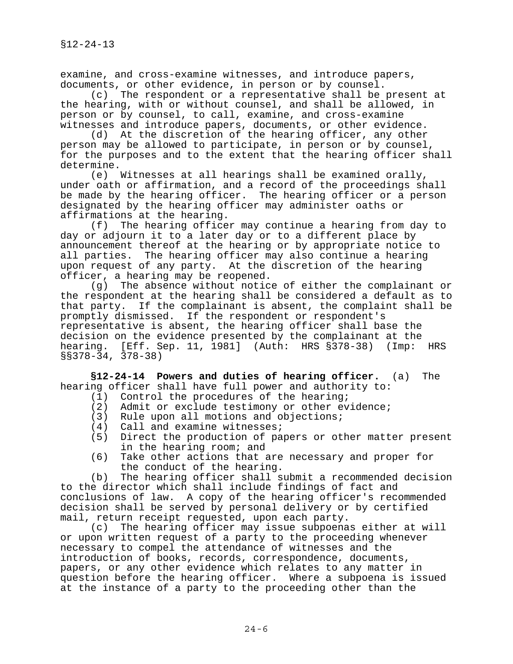examine, and cross-examine witnesses, and introduce papers, documents, or other evidence, in person or by counsel.

 (c) The respondent or a representative shall be present at the hearing, with or without counsel, and shall be allowed, in person or by counsel, to call, examine, and cross-examine witnesses and introduce papers, documents, or other evidence.

 (d) At the discretion of the hearing officer, any other person may be allowed to participate, in person or by counsel, for the purposes and to the extent that the hearing officer shall determine.

 (e) Witnesses at all hearings shall be examined orally, under oath or affirmation, and a record of the proceedings shall be made by the hearing officer. The hearing officer or a person designated by the hearing officer may administer oaths or affirmations at the hearing.

 (f) The hearing officer may continue a hearing from day to day or adjourn it to a later day or to a different place by announcement thereof at the hearing or by appropriate notice to all parties. The hearing officer may also continue a hearing upon request of any party. At the discretion of the hearing officer, a hearing may be reopened.

 (g) The absence without notice of either the complainant or the respondent at the hearing shall be considered a default as to that party. If the complainant is absent, the complaint shall be promptly dismissed. If the respondent or respondent's representative is absent, the hearing officer shall base the decision on the evidence presented by the complainant at the hearing. [Eff. Sep. 11, 1981] (Auth: HRS §378-38) (Imp: HRS §§378-34, 378-38)

 **§12-24-14 Powers and duties of hearing officer.** (a) The hearing officer shall have full power and authority to: (1) Control the procedures of the hearing;

- (2) Admit or exclude testimony or other evidence;
- (3) Rule upon all motions and objections;
- (4) Call and examine witnesses;
- (5) Direct the production of papers or other matter present in the hearing room; and
- (6) Take other actions that are necessary and proper for the conduct of the hearing.

 (b) The hearing officer shall submit a recommended decision to the director which shall include findings of fact and conclusions of law. A copy of the hearing officer's recommended decision shall be served by personal delivery or by certified mail, return receipt requested, upon each party.

 (c) The hearing officer may issue subpoenas either at will or upon written request of a party to the proceeding whenever necessary to compel the attendance of witnesses and the introduction of books, records, correspondence, documents, papers, or any other evidence which relates to any matter in question before the hearing officer. Where a subpoena is issued at the instance of a party to the proceeding other than the